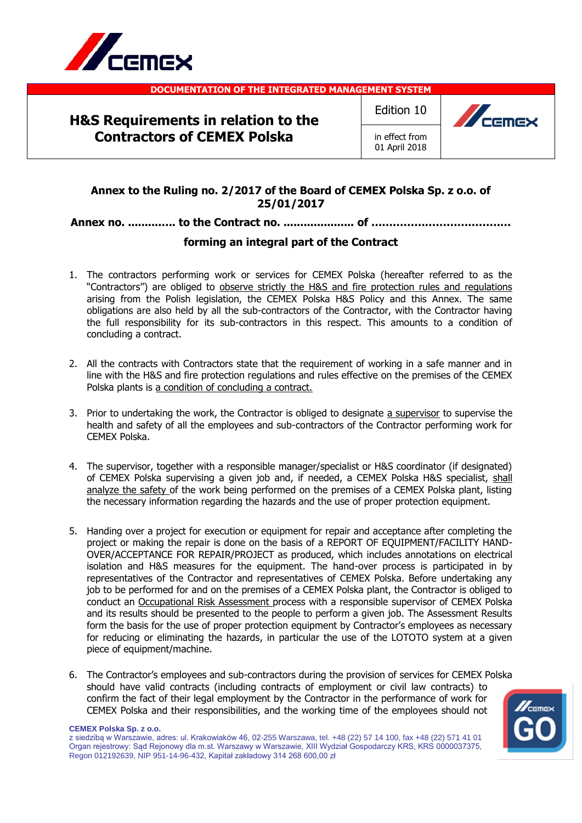

**DOCUMENTATION OF THE INTEGRATED MANAGEMENT SYSTEM**

# **H&S Requirements in relation to the Contractors of CEMEX Polska**

Edition 10

in effect from 01 April 2018



## **Annex to the Ruling no. 2/2017 of the Board of CEMEX Polska Sp. z o.o. of 25/01/2017**

## **Annex no. ..........…. to the Contract no. ..................... of …………………………………**

### **forming an integral part of the Contract**

- 1. The contractors performing work or services for CEMEX Polska (hereafter referred to as the "Contractors") are obliged to observe strictly the H&S and fire protection rules and regulations arising from the Polish legislation, the CEMEX Polska H&S Policy and this Annex. The same obligations are also held by all the sub-contractors of the Contractor, with the Contractor having the full responsibility for its sub-contractors in this respect. This amounts to a condition of concluding a contract.
- 2. All the contracts with Contractors state that the requirement of working in a safe manner and in line with the H&S and fire protection regulations and rules effective on the premises of the CEMEX Polska plants is a condition of concluding a contract.
- 3. Prior to undertaking the work, the Contractor is obliged to designate a supervisor to supervise the health and safety of all the employees and sub-contractors of the Contractor performing work for CEMEX Polska.
- 4. The supervisor, together with a responsible manager/specialist or H&S coordinator (if designated) of CEMEX Polska supervising a given job and, if needed, a CEMEX Polska H&S specialist, shall analyze the safety of the work being performed on the premises of a CEMEX Polska plant, listing the necessary information regarding the hazards and the use of proper protection equipment.
- 5. Handing over a project for execution or equipment for repair and acceptance after completing the project or making the repair is done on the basis of a REPORT OF EQUIPMENT/FACILITY HAND-OVER/ACCEPTANCE FOR REPAIR/PROJECT as produced, which includes annotations on electrical isolation and H&S measures for the equipment. The hand-over process is participated in by representatives of the Contractor and representatives of CEMEX Polska. Before undertaking any job to be performed for and on the premises of a CEMEX Polska plant, the Contractor is obliged to conduct an Occupational Risk Assessment process with a responsible supervisor of CEMEX Polska and its results should be presented to the people to perform a given job. The Assessment Results form the basis for the use of proper protection equipment by Contractor's employees as necessary for reducing or eliminating the hazards, in particular the use of the LOTOTO system at a given piece of equipment/machine.
- 6. The Contractor's employees and sub-contractors during the provision of services for CEMEX Polska should have valid contracts (including contracts of employment or civil law contracts) to confirm the fact of their legal employment by the Contractor in the performance of work for CEMEX Polska and their responsibilities, and the working time of the employees should not

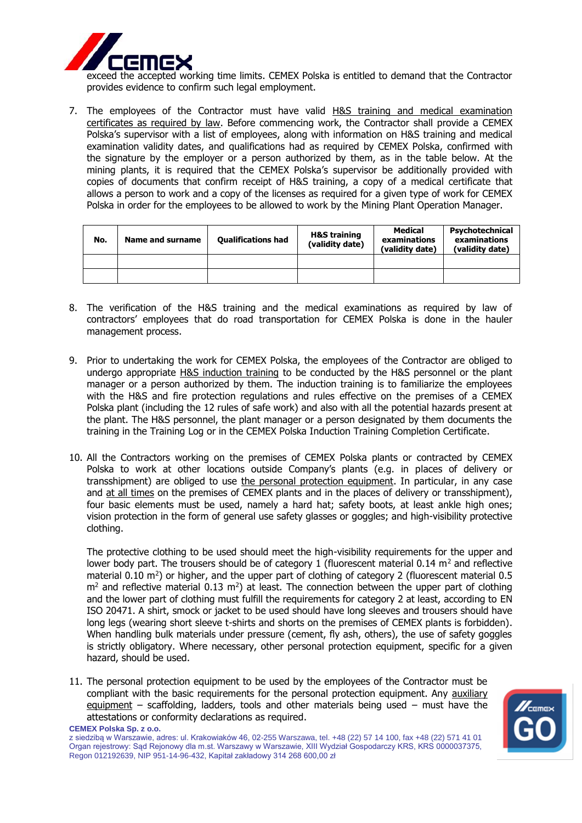

exceed the accepted working time limits. CEMEX Polska is entitled to demand that the Contractor provides evidence to confirm such legal employment.

7. The employees of the Contractor must have valid H&S training and medical examination certificates as required by law. Before commencing work, the Contractor shall provide a CEMEX Polska's supervisor with a list of employees, along with information on H&S training and medical examination validity dates, and qualifications had as required by CEMEX Polska, confirmed with the signature by the employer or a person authorized by them, as in the table below. At the mining plants, it is required that the CEMEX Polska's supervisor be additionally provided with copies of documents that confirm receipt of H&S training, a copy of a medical certificate that allows a person to work and a copy of the licenses as required for a given type of work for CEMEX Polska in order for the employees to be allowed to work by the Mining Plant Operation Manager.

| No. | Name and surname | <b>Qualifications had</b> | <b>H&amp;S training</b><br>(validity date) | Medical<br>examinations<br>(validity date) | Psychotechnical<br>examinations<br>(validity date) |
|-----|------------------|---------------------------|--------------------------------------------|--------------------------------------------|----------------------------------------------------|
|     |                  |                           |                                            |                                            |                                                    |
|     |                  |                           |                                            |                                            |                                                    |

- 8. The verification of the H&S training and the medical examinations as required by law of contractors' employees that do road transportation for CEMEX Polska is done in the hauler management process.
- 9. Prior to undertaking the work for CEMEX Polska, the employees of the Contractor are obliged to undergo appropriate H&S induction training to be conducted by the H&S personnel or the plant manager or a person authorized by them. The induction training is to familiarize the employees with the H&S and fire protection regulations and rules effective on the premises of a CEMEX Polska plant (including the 12 rules of safe work) and also with all the potential hazards present at the plant. The H&S personnel, the plant manager or a person designated by them documents the training in the Training Log or in the CEMEX Polska Induction Training Completion Certificate.
- 10. All the Contractors working on the premises of CEMEX Polska plants or contracted by CEMEX Polska to work at other locations outside Company's plants (e.g. in places of delivery or transshipment) are obliged to use the personal protection equipment. In particular, in any case and at all times on the premises of CEMEX plants and in the places of delivery or transshipment), four basic elements must be used, namely a hard hat; safety boots, at least ankle high ones; vision protection in the form of general use safety glasses or goggles; and high-visibility protective clothing.

The protective clothing to be used should meet the high-visibility requirements for the upper and lower body part. The trousers should be of category 1 (fluorescent material  $0.14$  m<sup>2</sup> and reflective material 0.10  $\text{m}^2$ ) or higher, and the upper part of clothing of category 2 (fluorescent material 0.5  $m<sup>2</sup>$  and reflective material 0.13  $m<sup>2</sup>$ ) at least. The connection between the upper part of clothing and the lower part of clothing must fulfill the requirements for category 2 at least, according to EN ISO 20471. A shirt, smock or jacket to be used should have long sleeves and trousers should have long legs (wearing short sleeve t-shirts and shorts on the premises of CEMEX plants is forbidden). When handling bulk materials under pressure (cement, fly ash, others), the use of safety goggles is strictly obligatory. Where necessary, other personal protection equipment, specific for a given hazard, should be used.

**CEMEX Polska Sp. z o.o.** 11. The personal protection equipment to be used by the employees of the Contractor must be compliant with the basic requirements for the personal protection equipment. Any auxiliary equipment – scaffolding, ladders, tools and other materials being used – must have the attestations or conformity declarations as required.

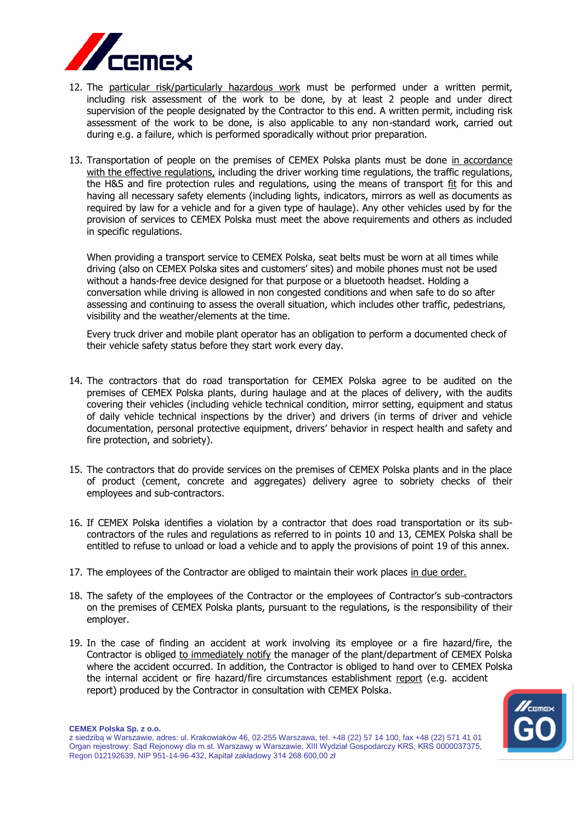

- 12. The particular risk/particularly hazardous work must be performed under a written permit, including risk assessment of the work to be done, by at least 2 people and under direct supervision of the people designated by the Contractor to this end. A written permit, including risk assessment of the work to be done, is also applicable to any non-standard work, carried out during e.g. a failure, which is performed sporadically without prior preparation.
- 13. Transportation of people on the premises of CEMEX Polska plants must be done in accordance with the effective regulations, including the driver working time regulations, the traffic regulations, the H&S and fire protection rules and regulations, using the means of transport fit for this and having all necessary safety elements (including lights, indicators, mirrors as well as documents as required by law for a vehicle and for a given type of haulage). Any other vehicles used by for the provision of services to CEMEX Polska must meet the above requirements and others as included in specific regulations.

When providing a transport service to CEMEX Polska, seat belts must be worn at all times while driving (also on CEMEX Polska sites and customers' sites) and mobile phones must not be used without a hands-free device designed for that purpose or a bluetooth headset. Holding a conversation while driving is allowed in non congested conditions and when safe to do so after assessing and continuing to assess the overall situation, which includes other traffic, pedestrians, visibility and the weather/elements at the time.

Every truck driver and mobile plant operator has an obligation to perform a documented check of their vehicle safety status before they start work every day.

- 14. The contractors that do road transportation for CEMEX Polska agree to be audited on the premises of CEMEX Polska plants, during haulage and at the places of delivery, with the audits covering their vehicles (including vehicle technical condition, mirror setting, equipment and status of daily vehicle technical inspections by the driver) and drivers (in terms of driver and vehicle documentation, personal protective equipment, drivers' behavior in respect health and safety and fire protection, and sobriety).
- 15. The contractors that do provide services on the premises of CEMEX Polska plants and in the place of product (cement, concrete and aggregates) delivery agree to sobriety checks of their employees and sub-contractors.
- 16. If CEMEX Polska identifies a violation by a contractor that does road transportation or its subcontractors of the rules and regulations as referred to in points 10 and 13, CEMEX Polska shall be entitled to refuse to unload or load a vehicle and to apply the provisions of point 19 of this annex.
- 17. The employees of the Contractor are obliged to maintain their work places in due order.
- 18. The safety of the employees of the Contractor or the employees of Contractor's sub-contractors on the premises of CEMEX Polska plants, pursuant to the regulations, is the responsibility of their employer.
- 19. In the case of finding an accident at work involving its employee or a fire hazard/fire, the Contractor is obliged to immediately notify the manager of the plant/department of CEMEX Polska where the accident occurred. In addition, the Contractor is obliged to hand over to CEMEX Polska the internal accident or fire hazard/fire circumstances establishment report (e.g. accident report) produced by the Contractor in consultation with CEMEX Polska.



### **CEMEX Polska Sp. z o.o.**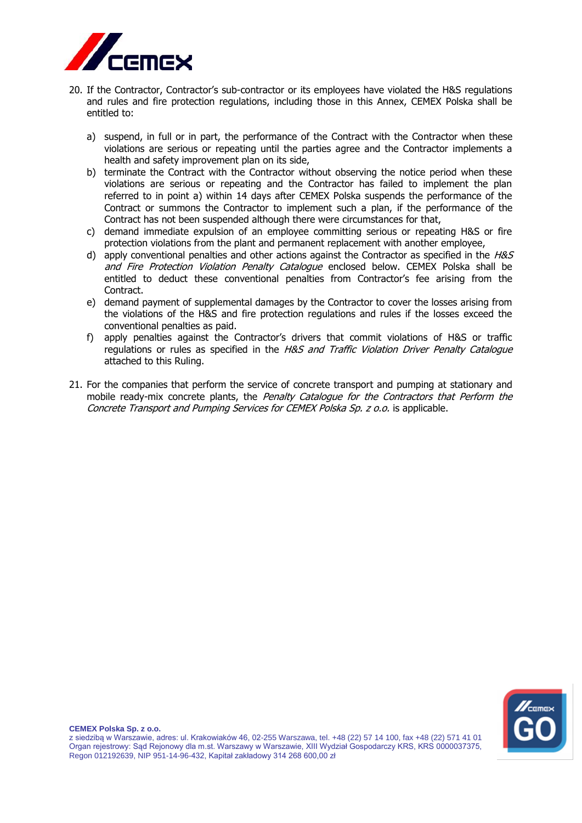

- 20. If the Contractor, Contractor's sub-contractor or its employees have violated the H&S regulations and rules and fire protection regulations, including those in this Annex, CEMEX Polska shall be entitled to:
	- a) suspend, in full or in part, the performance of the Contract with the Contractor when these violations are serious or repeating until the parties agree and the Contractor implements a health and safety improvement plan on its side,
	- b) terminate the Contract with the Contractor without observing the notice period when these violations are serious or repeating and the Contractor has failed to implement the plan referred to in point a) within 14 days after CEMEX Polska suspends the performance of the Contract or summons the Contractor to implement such a plan, if the performance of the Contract has not been suspended although there were circumstances for that,
	- c) demand immediate expulsion of an employee committing serious or repeating H&S or fire protection violations from the plant and permanent replacement with another employee,
	- d) apply conventional penalties and other actions against the Contractor as specified in the  $H\&S$ and Fire Protection Violation Penalty Catalogue enclosed below. CEMEX Polska shall be entitled to deduct these conventional penalties from Contractor's fee arising from the Contract.
	- e) demand payment of supplemental damages by the Contractor to cover the losses arising from the violations of the H&S and fire protection regulations and rules if the losses exceed the conventional penalties as paid.
	- f) apply penalties against the Contractor's drivers that commit violations of H&S or traffic regulations or rules as specified in the H&S and Traffic Violation Driver Penalty Catalogue attached to this Ruling.
- 21. For the companies that perform the service of concrete transport and pumping at stationary and mobile ready-mix concrete plants, the Penalty Catalogue for the Contractors that Perform the Concrete Transport and Pumping Services for CEMEX Polska Sp. z o.o. is applicable.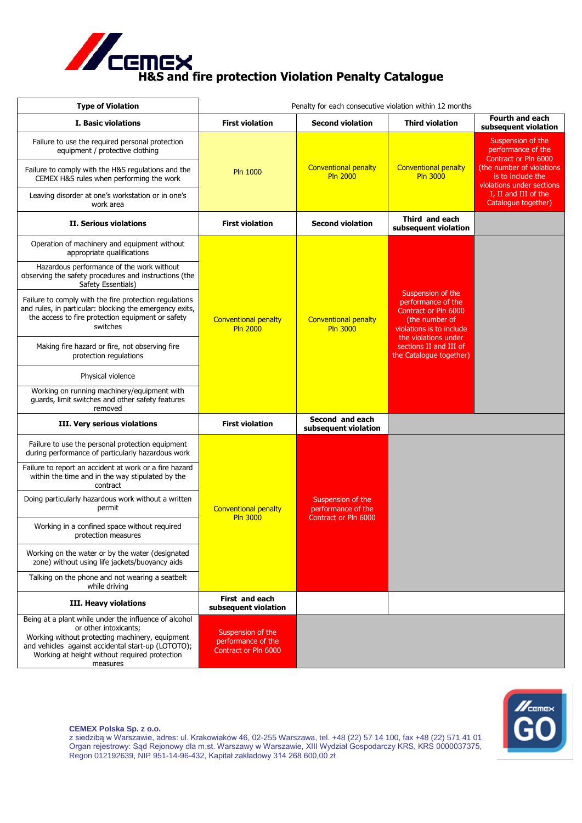

| <b>Type of Violation</b>                                                                                                                                                                                                                             | Penalty for each consecutive violation within 12 months           |                                                                 |                                                                                                                                                                                            |                                                                                                                                                                        |
|------------------------------------------------------------------------------------------------------------------------------------------------------------------------------------------------------------------------------------------------------|-------------------------------------------------------------------|-----------------------------------------------------------------|--------------------------------------------------------------------------------------------------------------------------------------------------------------------------------------------|------------------------------------------------------------------------------------------------------------------------------------------------------------------------|
| <b>I. Basic violations</b>                                                                                                                                                                                                                           | <b>First violation</b>                                            | <b>Second violation</b>                                         | <b>Third violation</b>                                                                                                                                                                     | <b>Fourth and each</b><br>subsequent violation                                                                                                                         |
| Failure to use the required personal protection<br>equipment / protective clothing<br>Failure to comply with the H&S regulations and the<br>CEMEX H&S rules when performing the work<br>Leaving disorder at one's workstation or in one's            | <b>Conventional penalty</b><br><b>Pln 1000</b><br><b>Pln 2000</b> |                                                                 | <b>Conventional penalty</b><br><b>Pln 3000</b>                                                                                                                                             | Suspension of the<br>performance of the<br>Contract or Pln 6000<br>(the number of violations<br>is to include the<br>violations under sections<br>I. II and III of the |
| work area                                                                                                                                                                                                                                            |                                                                   |                                                                 |                                                                                                                                                                                            | Catalogue together)                                                                                                                                                    |
| II. Serious violations                                                                                                                                                                                                                               | <b>First violation</b>                                            | <b>Second violation</b>                                         | Third and each<br>subsequent violation                                                                                                                                                     |                                                                                                                                                                        |
| Operation of machinery and equipment without<br>appropriate qualifications                                                                                                                                                                           |                                                                   | <b>Conventional penalty</b><br><b>Pln 3000</b>                  | Suspension of the<br>performance of the<br>Contract or Pln 6000<br>(the number of<br>violations is to include<br>the violations under<br>sections II and III of<br>the Catalogue together) |                                                                                                                                                                        |
| Hazardous performance of the work without<br>observing the safety procedures and instructions (the<br>Safety Essentials)                                                                                                                             |                                                                   |                                                                 |                                                                                                                                                                                            |                                                                                                                                                                        |
| Failure to comply with the fire protection regulations<br>and rules, in particular: blocking the emergency exits,<br>the access to fire protection equipment or safety<br>switches                                                                   | <b>Conventional penalty</b><br><b>Pln 2000</b>                    |                                                                 |                                                                                                                                                                                            |                                                                                                                                                                        |
| Making fire hazard or fire, not observing fire<br>protection regulations                                                                                                                                                                             |                                                                   |                                                                 |                                                                                                                                                                                            |                                                                                                                                                                        |
| Physical violence                                                                                                                                                                                                                                    |                                                                   |                                                                 |                                                                                                                                                                                            |                                                                                                                                                                        |
| Working on running machinery/equipment with<br>guards, limit switches and other safety features<br>removed                                                                                                                                           |                                                                   |                                                                 |                                                                                                                                                                                            |                                                                                                                                                                        |
| III. Very serious violations                                                                                                                                                                                                                         | <b>First violation</b>                                            | Second and each<br>subsequent violation                         |                                                                                                                                                                                            |                                                                                                                                                                        |
| Failure to use the personal protection equipment<br>during performance of particularly hazardous work                                                                                                                                                |                                                                   |                                                                 |                                                                                                                                                                                            |                                                                                                                                                                        |
| Failure to report an accident at work or a fire hazard<br>within the time and in the way stipulated by the<br>contract                                                                                                                               |                                                                   | Suspension of the<br>performance of the<br>Contract or Pln 6000 |                                                                                                                                                                                            |                                                                                                                                                                        |
| Doing particularly hazardous work without a written<br>permit                                                                                                                                                                                        | <b>Conventional penalty</b>                                       |                                                                 |                                                                                                                                                                                            |                                                                                                                                                                        |
| Working in a confined space without required<br>protection measures                                                                                                                                                                                  | <b>Pln 3000</b>                                                   |                                                                 |                                                                                                                                                                                            |                                                                                                                                                                        |
| Working on the water or by the water (designated<br>zone) without using life jackets/buoyancy aids                                                                                                                                                   |                                                                   |                                                                 |                                                                                                                                                                                            |                                                                                                                                                                        |
| Talking on the phone and not wearing a seatbelt<br>while driving                                                                                                                                                                                     |                                                                   |                                                                 |                                                                                                                                                                                            |                                                                                                                                                                        |
| <b>III. Heavy violations</b>                                                                                                                                                                                                                         | First and each<br>subsequent violation                            |                                                                 |                                                                                                                                                                                            |                                                                                                                                                                        |
| Being at a plant while under the influence of alcohol<br>or other intoxicants;<br>Working without protecting machinery, equipment<br>and vehicles against accidental start-up (LOTOTO);<br>Working at height without required protection<br>measures | Suspension of the<br>performance of the<br>Contract or Pln 6000   |                                                                 |                                                                                                                                                                                            |                                                                                                                                                                        |



#### **CEMEX Polska Sp. z o.o.**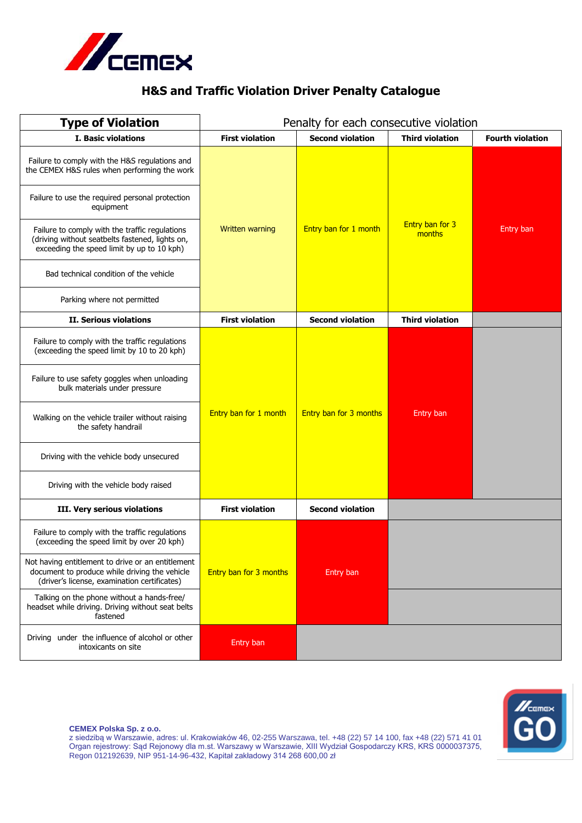

# **H&S and Traffic Violation Driver Penalty Catalogue**

| <b>Type of Violation</b>                                                                                                                                                                                                                                                                                                                                          | Penalty for each consecutive violation |                         |                                  |                         |
|-------------------------------------------------------------------------------------------------------------------------------------------------------------------------------------------------------------------------------------------------------------------------------------------------------------------------------------------------------------------|----------------------------------------|-------------------------|----------------------------------|-------------------------|
| I. Basic violations                                                                                                                                                                                                                                                                                                                                               | <b>First violation</b>                 | <b>Second violation</b> | <b>Third violation</b>           | <b>Fourth violation</b> |
| Failure to comply with the H&S regulations and<br>the CEMEX H&S rules when performing the work<br>Failure to use the required personal protection<br>equipment<br>Failure to comply with the traffic regulations<br>(driving without seatbelts fastened, lights on,<br>exceeding the speed limit by up to 10 kph)                                                 | Written warning                        | Entry ban for 1 month   | <b>Entry ban for 3</b><br>months | Entry ban               |
| Bad technical condition of the vehicle<br>Parking where not permitted                                                                                                                                                                                                                                                                                             |                                        |                         |                                  |                         |
| <b>II. Serious violations</b>                                                                                                                                                                                                                                                                                                                                     | <b>First violation</b>                 | <b>Second violation</b> | <b>Third violation</b>           |                         |
| Failure to comply with the traffic regulations<br>(exceeding the speed limit by 10 to 20 kph)<br>Failure to use safety goggles when unloading<br>bulk materials under pressure<br>Walking on the vehicle trailer without raising<br>the safety handrail<br>Driving with the vehicle body unsecured<br>Driving with the vehicle body raised                        | Entry ban for 1 month                  | Entry ban for 3 months  | Entry ban                        |                         |
| III. Very serious violations                                                                                                                                                                                                                                                                                                                                      | <b>First violation</b>                 | <b>Second violation</b> |                                  |                         |
| Failure to comply with the traffic regulations<br>(exceeding the speed limit by over 20 kph)<br>Not having entitlement to drive or an entitlement<br>document to produce while driving the vehicle<br>(driver's license, examination certificates)<br>Talking on the phone without a hands-free/<br>headset while driving. Driving without seat belts<br>fastened | Entry ban for 3 months                 | Entry ban               |                                  |                         |
| Driving under the influence of alcohol or other<br>intoxicants on site                                                                                                                                                                                                                                                                                            | Entry ban                              |                         |                                  |                         |



**CEMEX Polska Sp. z o.o.**